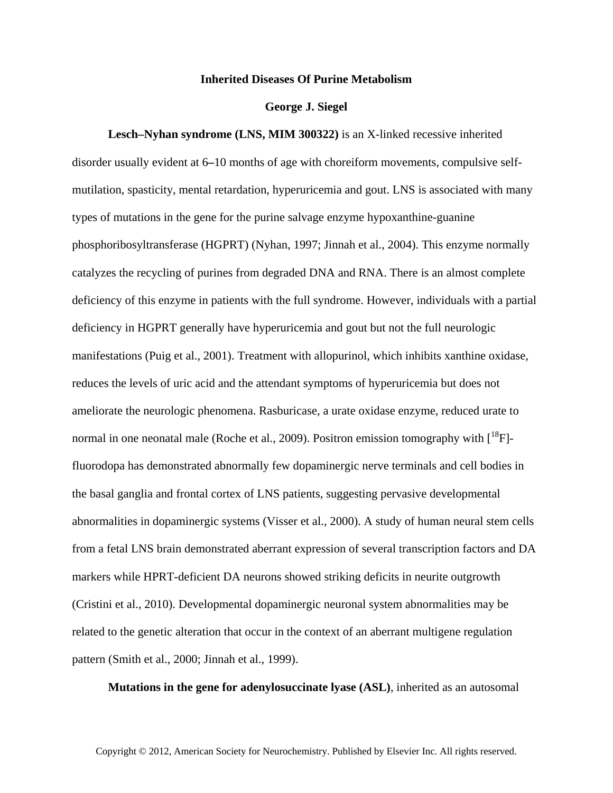## **Inherited Diseases Of Purine Metabolism**

## **George J. Siegel**

**Lesch–Nyhan syndrome (LNS, MIM 300322)** is an X-linked recessive inherited disorder usually evident at 6**–**10 months of age with choreiform movements, compulsive selfmutilation, spasticity, mental retardation, hyperuricemia and gout. LNS is associated with many types of mutations in the gene for the purine salvage enzyme hypoxanthine-guanine phosphoribosyltransferase (HGPRT) (Nyhan, 1997; Jinnah et al., 2004). This enzyme normally catalyzes the recycling of purines from degraded DNA and RNA. There is an almost complete deficiency of this enzyme in patients with the full syndrome. However, individuals with a partial deficiency in HGPRT generally have hyperuricemia and gout but not the full neurologic manifestations (Puig et al., 2001). Treatment with allopurinol, which inhibits xanthine oxidase, reduces the levels of uric acid and the attendant symptoms of hyperuricemia but does not ameliorate the neurologic phenomena. Rasburicase, a urate oxidase enzyme, reduced urate to normal in one neonatal male (Roche et al., 2009). Positron emission tomography with  $\mathcal{I}^{18}F$ ]fluorodopa has demonstrated abnormally few dopaminergic nerve terminals and cell bodies in the basal ganglia and frontal cortex of LNS patients, suggesting pervasive developmental abnormalities in dopaminergic systems (Visser et al., 2000). A study of human neural stem cells from a fetal LNS brain demonstrated aberrant expression of several transcription factors and DA markers while HPRT-deficient DA neurons showed striking deficits in neurite outgrowth (Cristini et al., 2010). Developmental dopaminergic neuronal system abnormalities may be related to the genetic alteration that occur in the context of an aberrant multigene regulation pattern (Smith et al., 2000; Jinnah et al., 1999).

**Mutations in the gene for adenylosuccinate lyase (ASL)**, inherited as an autosomal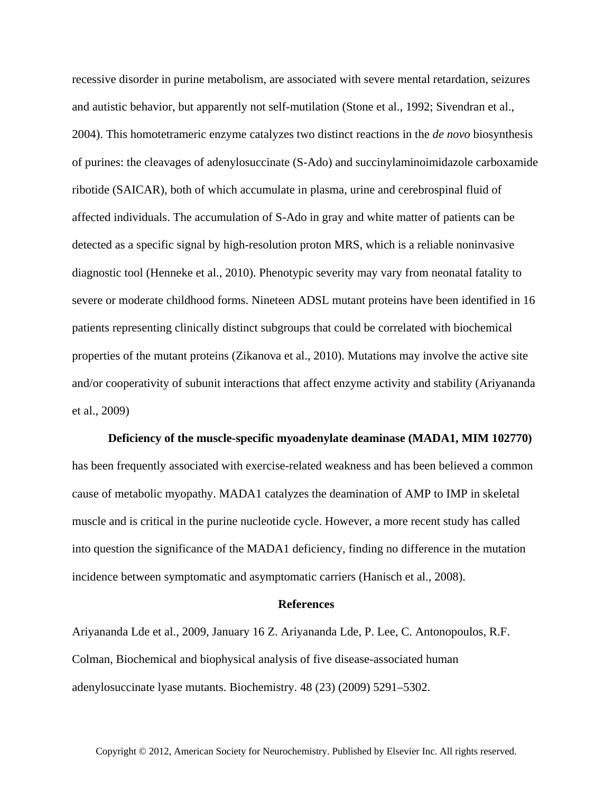recessive disorder in purine metabolism, are associated with severe mental retardation, seizures and autistic behavior, but apparently not self-mutilation (Stone et al., 1992; Sivendran et al., 2004). This homotetrameric enzyme catalyzes two distinct reactions in the *de novo* biosynthesis of purines: the cleavages of adenylosuccinate (S-Ado) and succinylaminoimidazole carboxamide ribotide (SAICAR), both of which accumulate in plasma, urine and cerebrospinal fluid of affected individuals. The accumulation of S-Ado in gray and white matter of patients can be detected as a specific signal by high-resolution proton MRS, which is a reliable noninvasive diagnostic tool (Henneke et al., 2010). Phenotypic severity may vary from neonatal fatality to severe or moderate childhood forms. Nineteen ADSL mutant proteins have been identified in 16 patients representing clinically distinct subgroups that could be correlated with biochemical properties of the mutant proteins (Zikanova et al., 2010). Mutations may involve the active site and/or cooperativity of subunit interactions that affect enzyme activity and stability (Ariyananda et al., 2009)

**Deficiency of the muscle-specific myoadenylate deaminase (MADA1, MIM 102770)** has been frequently associated with exercise-related weakness and has been believed a common cause of metabolic myopathy. MADA1 catalyzes the deamination of AMP to IMP in skeletal muscle and is critical in the purine nucleotide cycle. However, a more recent study has called into question the significance of the MADA1 deficiency, finding no difference in the mutation incidence between symptomatic and asymptomatic carriers (Hanisch et al., 2008).

## **References**

Ariyananda Lde et al., 2009, January 16 Z. Ariyananda Lde, P. Lee, C. Antonopoulos, R.F. Colman, Biochemical and biophysical analysis of five disease-associated human adenylosuccinate lyase mutants. Biochemistry. 48 (23) (2009) 5291–5302.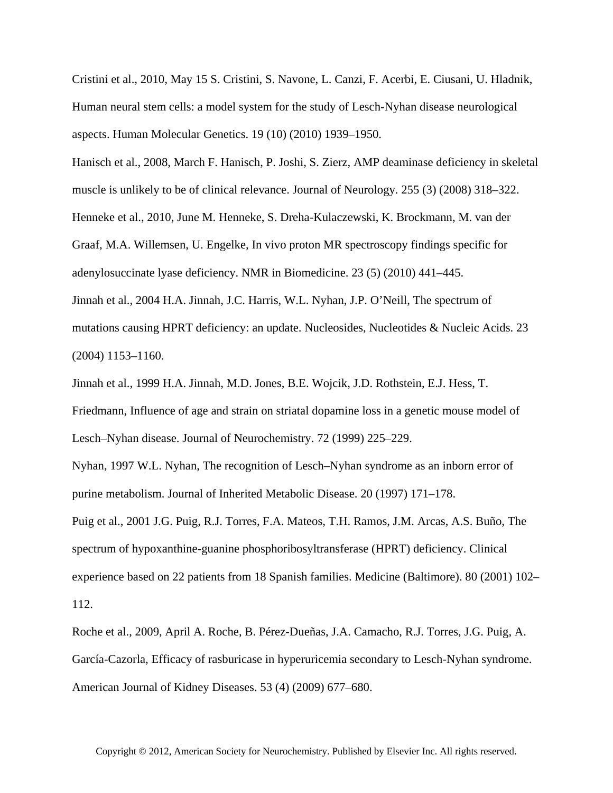Cristini et al., 2010, May 15 S. Cristini, S. Navone, L. Canzi, F. Acerbi, E. Ciusani, U. Hladnik, Human neural stem cells: a model system for the study of Lesch-Nyhan disease neurological aspects. Human Molecular Genetics. 19 (10) (2010) 1939–1950.

Hanisch et al., 2008, March F. Hanisch, P. Joshi, S. Zierz, AMP deaminase deficiency in skeletal muscle is unlikely to be of clinical relevance. Journal of Neurology. 255 (3) (2008) 318–322.

Henneke et al., 2010, June M. Henneke, S. Dreha-Kulaczewski, K. Brockmann, M. van der

Graaf, M.A. Willemsen, U. Engelke, In vivo proton MR spectroscopy findings specific for

adenylosuccinate lyase deficiency. NMR in Biomedicine. 23 (5) (2010) 441–445.

Jinnah et al., 2004 H.A. Jinnah, J.C. Harris, W.L. Nyhan, J.P. O'Neill, The spectrum of mutations causing HPRT deficiency: an update. Nucleosides, Nucleotides & Nucleic Acids. 23 (2004) 1153–1160.

Jinnah et al., 1999 H.A. Jinnah, M.D. Jones, B.E. Wojcik, J.D. Rothstein, E.J. Hess, T. Friedmann, Influence of age and strain on striatal dopamine loss in a genetic mouse model of Lesch–Nyhan disease. Journal of Neurochemistry. 72 (1999) 225–229.

Nyhan, 1997 W.L. Nyhan, The recognition of Lesch–Nyhan syndrome as an inborn error of purine metabolism. Journal of Inherited Metabolic Disease. 20 (1997) 171–178.

Puig et al., 2001 J.G. Puig, R.J. Torres, F.A. Mateos, T.H. Ramos, J.M. Arcas, A.S. Buño, The spectrum of hypoxanthine-guanine phosphoribosyltransferase (HPRT) deficiency. Clinical experience based on 22 patients from 18 Spanish families. Medicine (Baltimore). 80 (2001) 102– 112.

Roche et al., 2009, April A. Roche, B. Pérez-Dueñas, J.A. Camacho, R.J. Torres, J.G. Puig, A. García-Cazorla, Efficacy of rasburicase in hyperuricemia secondary to Lesch-Nyhan syndrome. American Journal of Kidney Diseases. 53 (4) (2009) 677–680.